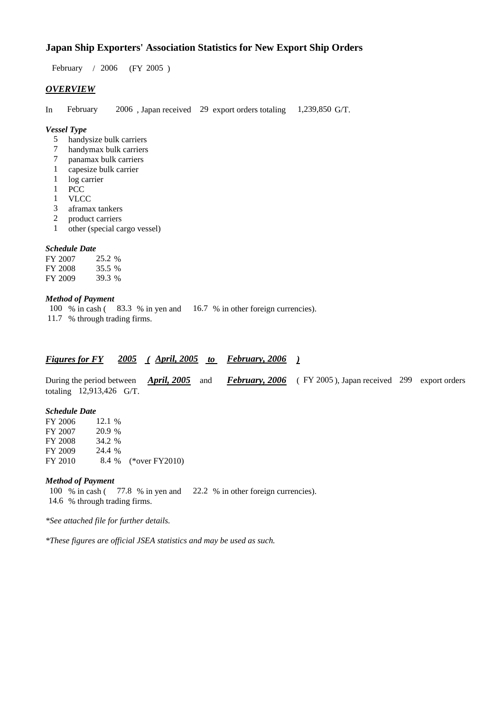## **Japan Ship Exporters' Association Statistics for New Export Ship Orders**

February / 2006 (FY 2005 )

## *OVERVIEW*

In February 2006 , Japan received 29 export orders totaling 1,239,850 G/T.

#### *Vessel Type*

- 5 handysize bulk carriers
- 7 handymax bulk carriers
- 7 panamax bulk carriers<br>1 capesize bulk carrier
- capesize bulk carrier
- 1 log carrier<br>1 PCC
- PCC
- 1 VLCC
- 3 aframax tankers<br>2 product carriers
- product carriers
- 1 other (special cargo vessel)

#### *Schedule Date*

| FY 2007 | 25.2 % |
|---------|--------|
| FY 2008 | 35.5 % |
| FY 2009 | 39.3 % |

#### *Method of Payment*

100 % in cash ( 83.3 % in yen and 16.7 % in other foreign currencies). 11.7 % through trading firms.

| February, 2006<br>$($ April, 2005<br><b>Figures for FY</b> |
|------------------------------------------------------------|
|------------------------------------------------------------|

During the period between *April, 2005* and *February, 2006* ( FY 2005 ), Japan received 299 export orders totaling 12,913,426 G/T.

#### *Schedule Date*

FY 2006 12.1 % FY 2007 20.9 % FY 2008 34.2 %<br>FY 2009 24.4 % FY 2009 FY 2010 8.4 % (\*over FY2010)

#### *Method of Payment*

100 % in cash ( 77.8 % in yen and 22.2 % in other foreign currencies). 14.6 % through trading firms.

*\*See attached file for further details.*

*\*These figures are official JSEA statistics and may be used as such.*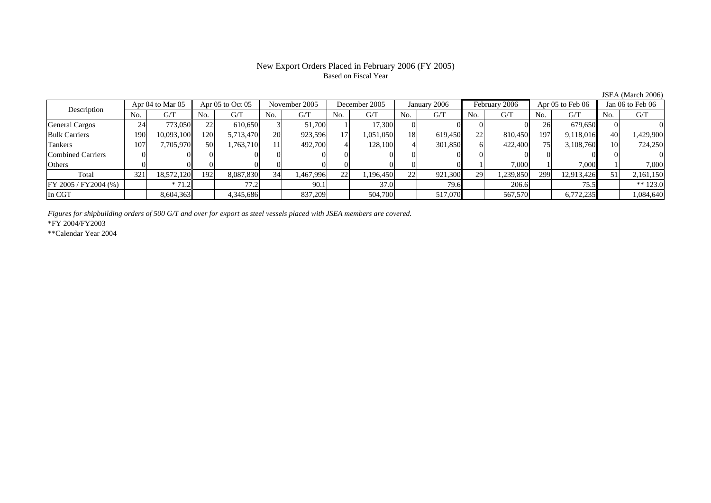### New Export Orders Placed in February 2006 (FY 2005) Based on Fiscal Year

JSEA (March 2006)

| Apr 04 to Mar 05<br>Description |     | Apr $05$ to Oct $05$ |     | November 2005 |     | December 2005 |     | January 2006 |     | February 2006 |     | Apr 05 to Feb 06 |     | Jan 06 to Feb 06 |                 |            |
|---------------------------------|-----|----------------------|-----|---------------|-----|---------------|-----|--------------|-----|---------------|-----|------------------|-----|------------------|-----------------|------------|
|                                 | No. | G/T                  | No. | G/T           | No. | G/T           | No. | G/T          | No. | G/T           | No. | G/T              | No. | G/T              | No.             | G/T        |
| <b>General Cargos</b>           | 24  | 773,050              | 22  | 610.650       |     | 51,700        |     | 17.300       | 01  |               |     |                  | 26  | 679.650          |                 |            |
| <b>Bulk Carriers</b>            | 190 | 10,093,100           | 120 | 5,713,470     | 20  | 923,596       | 17  | 1,051,050    | 18  | 619,450       | 22  | 810,450          | 197 | 9.118.016        | 40              | 1,429,900  |
| Tankers                         | 107 | 7.705.970            | 50  | 1,763,710     |     | 492,700       |     | 128,100      | 41  | 301,850       |     | 422,400          | 75  | 3,108,760        | 10 <sub>l</sub> | 724,250    |
| <b>Combined Carriers</b>        |     |                      |     |               |     |               |     |              |     |               |     |                  |     |                  |                 |            |
| Others                          |     |                      |     |               |     |               |     |              |     |               |     | 7.000            |     | 7.000            |                 | 7.000      |
| Total                           | 321 | 18,572,120           | 192 | 8,087,830     | 34  | 1,467,996     | 22  | .196,450     | 22  | 921,300       | 29  | 1,239,850        | 299 | 12,913,426       |                 | 2,161,150  |
| $FY 2005 / FY 2004$ (%)         |     | $*71.2$              |     | 77.2          |     | 90.1          |     | 37.0         |     | 79.6          |     | 206.6            |     | 75.5             |                 | ** $123.0$ |
| In CGT                          |     | 8,604,363            |     | 4,345,686     |     | 837,209       |     | 504,700      |     | 517,070       |     | 567,570          |     | 6,772,235        |                 | 1,084,640  |

*Figures for shipbuilding orders of 500 G/T and over for export as steel vessels placed with JSEA members are covered.*

\*FY 2004/FY2003

\*\*Calendar Year 2004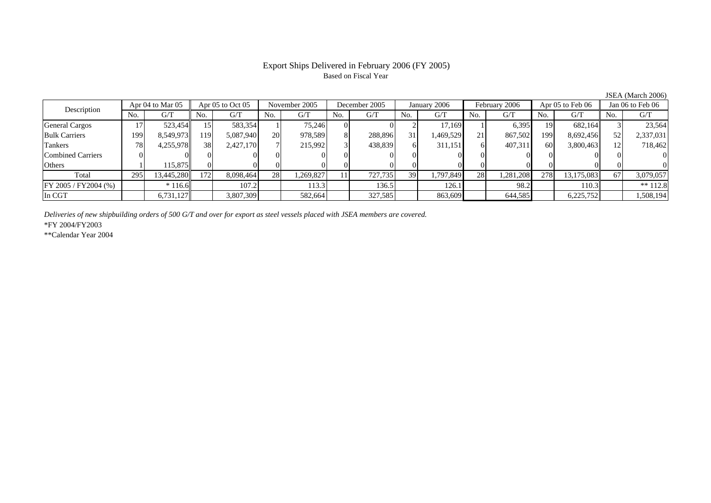# Based on Fiscal Year

Description Apr 04 to Mar 05 Apr 05 to Oct 05 November 2005 December 2005 January 2006 February 2006 Apr 05 to Feb 06 Jan 06 to Feb 06<br>No. 1 G/T No. 1 G/T No. 1 G/T No. 1 G/T No. 1 G/T No. 1 G/T No. 1 G/T No. 1 G/T No. 1 G No.  $G/T$ T || No. | G/T || No. | G/T || No. | G/T || No. | G/T || G/T || No. | G/T || No. | G/T || No. | G/T General Cargos ( 17 | 523,454|| 15 | 583,354 | 1 | 75,246| 0 | 0 | 2 | 17,169| 1 | 6,395| 19| 682,164|| 3 | 23,564 Bulk Carriers 199 8,549,973 119 5,087,940 20 978,589 8 288,896 31 1,469,529 21 867,502 199 8,692,456 52 2,337,031 Tankers 788| 4,255,978|| 38| 2,427,170| 7| 215,992| 3| 438,839| 6| 311,151| 6| 407,311| 60| 3,800,463|| 12| 718,462 Combined Carriers 0 0 0 0 0 0 0 0 0 0 0 0 0 0 0 0 **Others** s and  $1$  115,875 0 0 0 0 0 0 0 0 0 0 0 0 0 0 Total 2955| 13,445,280|| 172| 8,098,464| 28| 1,269,827| 11| 727,735| 39| 1,797,849| 28| 1,281,208| 278| 13,175,083|| 67| 3,079,057 FY 2005 / FY2004 (%) \* 116.6 107.2 113.3 136.5 126.1 98.2 110.3 \*\* 112.8 In CGT6,731,127 3,807,309 582,664 327,585 863,609 644,585 6,225,752 1,508,194

*Deliveries of new shipbuilding orders of 500 G/T and over for export as steel vessels placed with JSEA members are covered.*

\*FY 2004/FY2003

\*\*Calendar Year 2004

JSEA (March 2006)

# Export Ships Delivered in February 2006 (FY 2005)